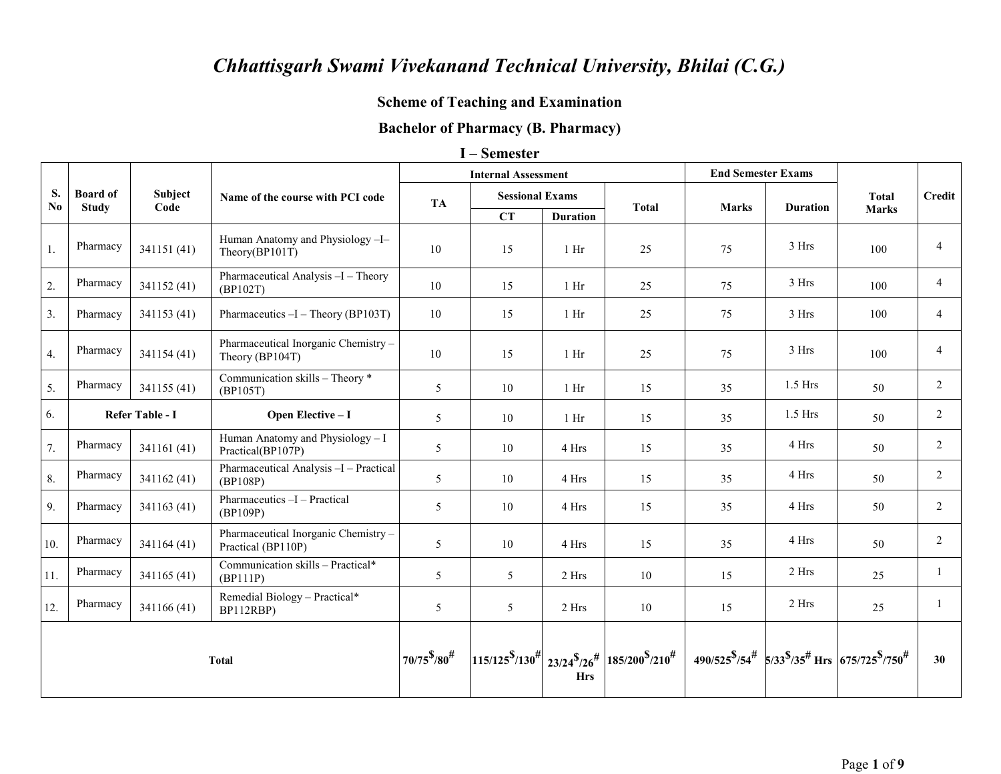# **Scheme of Teaching and Examination**

## **Bachelor of Pharmacy (B. Pharmacy)**

#### I – Semester

|                |                                                                       |             |                                                           |                | <b>Internal Assessment</b> |                 |                                                                                          | <b>End Semester Exams</b> |                 |                                                                                   |                |
|----------------|-----------------------------------------------------------------------|-------------|-----------------------------------------------------------|----------------|----------------------------|-----------------|------------------------------------------------------------------------------------------|---------------------------|-----------------|-----------------------------------------------------------------------------------|----------------|
| S.             | <b>Board of</b>                                                       | Subject     | Name of the course with PCI code                          | <b>TA</b>      | <b>Sessional Exams</b>     |                 |                                                                                          |                           |                 | <b>Total</b>                                                                      | <b>Credit</b>  |
| N <sub>0</sub> | <b>Study</b>                                                          | Code        |                                                           |                | CT                         | <b>Duration</b> | <b>Total</b>                                                                             | <b>Marks</b>              | <b>Duration</b> | <b>Marks</b>                                                                      |                |
| 1.             | Pharmacy                                                              | 341151 (41) | Human Anatomy and Physiology-I-<br>Theory(BP101T)         | 10             | 15                         | 1 <sub>Hi</sub> | 25                                                                                       | 75                        | 3 Hrs           | 100                                                                               | $\overline{4}$ |
| 2.             | Pharmacy                                                              | 341152 (41) | Pharmaceutical Analysis -I - Theory<br>(BP102T)           | 10             | 15                         | $1$ Hr          | 25                                                                                       | 75                        | 3 Hrs           | 100                                                                               | $\overline{4}$ |
| 3 <sub>1</sub> | Pharmacy                                                              | 341153 (41) | Pharmaceutics $-I$ – Theory (BP103T)                      | 10             | 15                         | $1$ Hr          | 25                                                                                       | 75                        | 3 Hrs           | 100                                                                               | $\overline{4}$ |
| 4.             | Pharmacy                                                              | 341154 (41) | Pharmaceutical Inorganic Chemistry-<br>Theory (BP104T)    | 10             | 15                         | 1 <sub>Hi</sub> | 25                                                                                       | 75                        | 3 Hrs           | 100                                                                               | $\overline{4}$ |
| 5.             | Pharmacy                                                              | 341155 (41) | Communication skills - Theory *<br>(BP105T)               | 5              | 10                         | 1 <sub>hr</sub> | 15                                                                                       | 35                        | $1.5$ Hrs       | 50                                                                                | $\overline{2}$ |
| 6.             | Refer Table - I                                                       |             | Open Elective - I                                         | 5              | 10                         | $1$ Hr          | 15                                                                                       | 35                        | $1.5$ Hrs       | 50                                                                                | 2              |
| 7.             | Pharmacy                                                              | 341161 (41) | Human Anatomy and Physiology - I<br>Practical(BP107P)     | $\mathfrak{S}$ | 10                         | 4 Hrs           | 15                                                                                       | 35                        | 4 Hrs           | 50                                                                                | $\overline{2}$ |
| 8.             | Pharmacy                                                              | 341162 (41) | Pharmaceutical Analysis -I - Practical<br>(BP108P)        | 5              | 10                         | 4 Hrs           | 15                                                                                       | 35                        | 4 Hrs           | 50                                                                                | $\overline{2}$ |
| 9.             | Pharmacy                                                              | 341163 (41) | Pharmaceutics -I - Practical<br>(BP109P)                  | 5              | 10                         | 4 Hrs           | 15                                                                                       | 35                        | 4 Hrs           | 50                                                                                | $\overline{2}$ |
| 10.            | Pharmacy                                                              | 341164 (41) | Pharmaceutical Inorganic Chemistry-<br>Practical (BP110P) | 5              | 10                         | 4 Hrs           | 15                                                                                       | 35                        | 4 Hrs           | 50                                                                                | $\overline{2}$ |
| 11.            | Pharmacy                                                              | 341165 (41) | Communication skills - Practical*<br>(BP111P)             | 5              | 5                          | 2 Hrs           | 10                                                                                       | 15                        | 2 Hrs           | 25                                                                                |                |
| 12.            | Remedial Biology - Practical*<br>Pharmacy<br>341166 (41)<br>BP112RBP) |             | 5                                                         | 5              | 2 Hrs                      | 10              | 15                                                                                       | 2 Hrs                     | 25              |                                                                                   |                |
|                | Total                                                                 |             |                                                           |                |                            | <b>Hrs</b>      | $\left  115/125^{8}/130^{4} \right  23/24^{8}/26^{4} \left  185/200^{8}/210^{4} \right $ |                           |                 | $490/525^{\$}/54^{\#}$ 5/33 $\frac{\$}{35^{*}}$ Hrs 675/725 $\frac{\$}{7750^{*}}$ | 30             |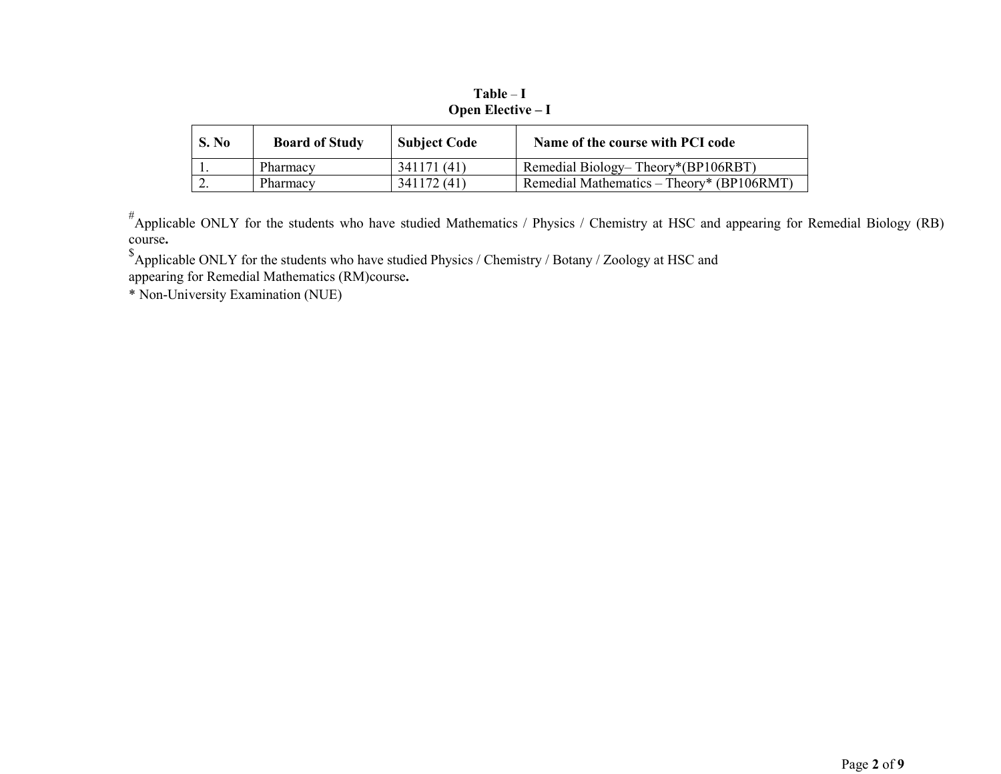| S. No | <b>Board of Study</b> | <b>Subject Code</b> | Name of the course with PCI code          |
|-------|-----------------------|---------------------|-------------------------------------------|
|       | Pharmacy              | 341171 (41)         | Remedial Biology-Theory*(BP106RBT)        |
|       | Pharmacy              | 341172 (41)         | Remedial Mathematics – Theory* (BP106RMT) |

 $Table - I$ Open Elective - I

<sup>#</sup>Applicable ONLY for the students who have studied Mathematics / Physics / Chemistry at HSC and appearing for Remedial Biology (RB) course.

 $$$ Applicable ONLY for the students who have studied Physics / Chemistry / Botany / Zoology at HSC and appearing for Remedial Mathematics (RM)course.

\* Non-University Examination (NUE)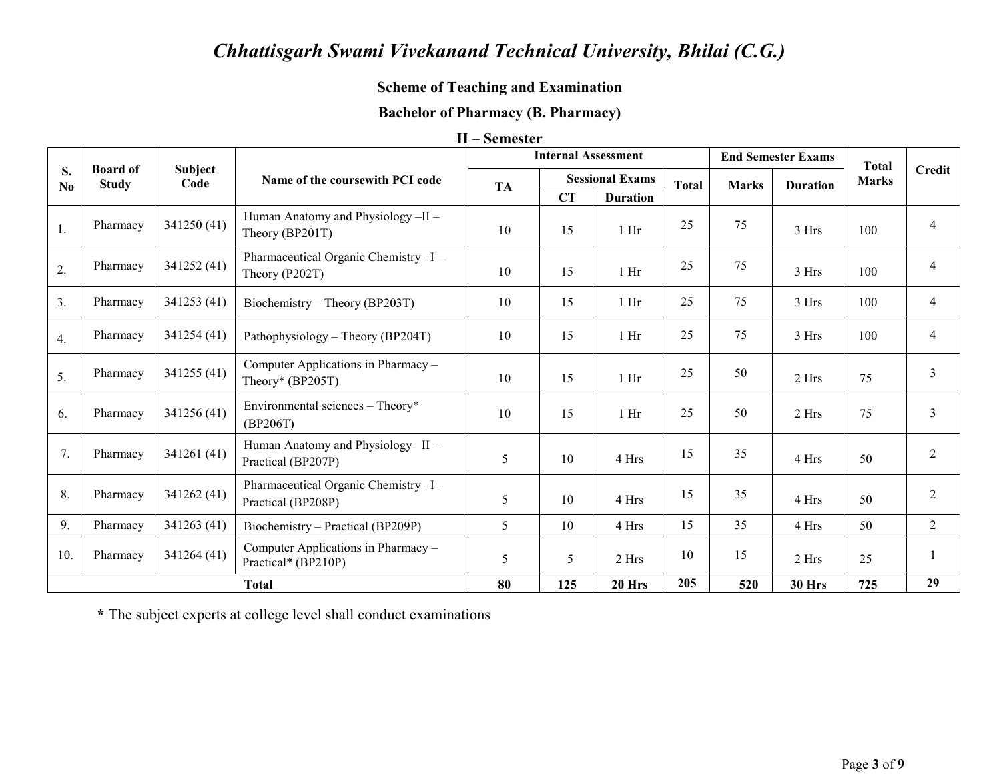## **Scheme of Teaching and Examination**

# **Bachelor of Pharmacy (B. Pharmacy)**

| П | – Semester |  |
|---|------------|--|
|---|------------|--|

|          |                                 |                 |                                                            |           | <b>Internal Assessment</b> |                        |              |              | <b>End Semester Exams</b> | <b>Total</b> |                |
|----------|---------------------------------|-----------------|------------------------------------------------------------|-----------|----------------------------|------------------------|--------------|--------------|---------------------------|--------------|----------------|
| S.<br>No | <b>Board of</b><br><b>Study</b> | Subject<br>Code | Name of the coursewith PCI code                            | <b>TA</b> |                            | <b>Sessional Exams</b> | <b>Total</b> | <b>Marks</b> | <b>Duration</b>           | <b>Marks</b> | Credit         |
|          |                                 |                 |                                                            |           | CT                         | <b>Duration</b>        |              |              |                           |              |                |
| 1.       | Pharmacy                        | 341250 (41)     | Human Anatomy and Physiology-II-<br>Theory (BP201T)        | 10        | 15                         | 1 <sub>hr</sub>        | 25           | 75           | 3 Hrs                     | 100          | 4              |
| 2.       | Pharmacy                        | 341252 (41)     | Pharmaceutical Organic Chemistry-I-<br>Theory (P202T)      | 10        | 15                         | $1$ Hr                 | 25           | 75           | 3 Hrs                     | 100          | 4              |
| 3.       | Pharmacy                        | 341253 (41)     | Biochemistry – Theory (BP203T)                             | 10        | 15                         | 1 <sub>hr</sub>        | 25           | 75           | 3 Hrs                     | 100          | $\overline{4}$ |
| 4.       | Pharmacy                        | 341254 (41)     | Pathophysiology – Theory (BP204T)                          | 10        | 15                         | 1 <sub>hr</sub>        | 25           | 75           | 3 Hrs                     | 100          | 4              |
| 5.       | Pharmacy                        | 341255 (41)     | Computer Applications in Pharmacy -<br>Theory* $(BP205T)$  | 10        | 15                         | $1$ Hr                 | 25           | 50           | 2 Hrs                     | 75           | $\overline{3}$ |
| 6.       | Pharmacy                        | 341256 (41)     | Environmental sciences - Theory*<br>(BP206T)               | 10        | 15                         | 1 <sub>hr</sub>        | 25           | 50           | 2 Hrs                     | 75           | $\overline{3}$ |
| 7.       | Pharmacy                        | 341261 (41)     | Human Anatomy and Physiology -II -<br>Practical (BP207P)   | 5         | 10                         | 4 Hrs                  | 15           | 35           | 4 Hrs                     | 50           | $\overline{2}$ |
| 8.       | Pharmacy                        | 341262 (41)     | Pharmaceutical Organic Chemistry-I-<br>Practical (BP208P)  | 5         | 10                         | 4 Hrs                  | 15           | 35           | 4 Hrs                     | 50           | $\overline{2}$ |
| 9.       | Pharmacy                        | 341263 (41)     | Biochemistry – Practical (BP209P)                          | 5         | 10                         | 4 Hrs                  | 15           | 35           | 4 Hrs                     | 50           | $\overline{2}$ |
| 10.      | Pharmacy                        | 341264 (41)     | Computer Applications in Pharmacy -<br>Practical* (BP210P) | 5         | 5                          | 2 Hrs                  | 10           | 15           | 2 Hrs                     | 25           |                |
|          |                                 |                 | <b>Total</b>                                               | 80        | 125                        | 20 Hrs                 | 205          | 520          | <b>30 Hrs</b>             | 725          | 29             |

\* The subject experts at college level shall conduct examinations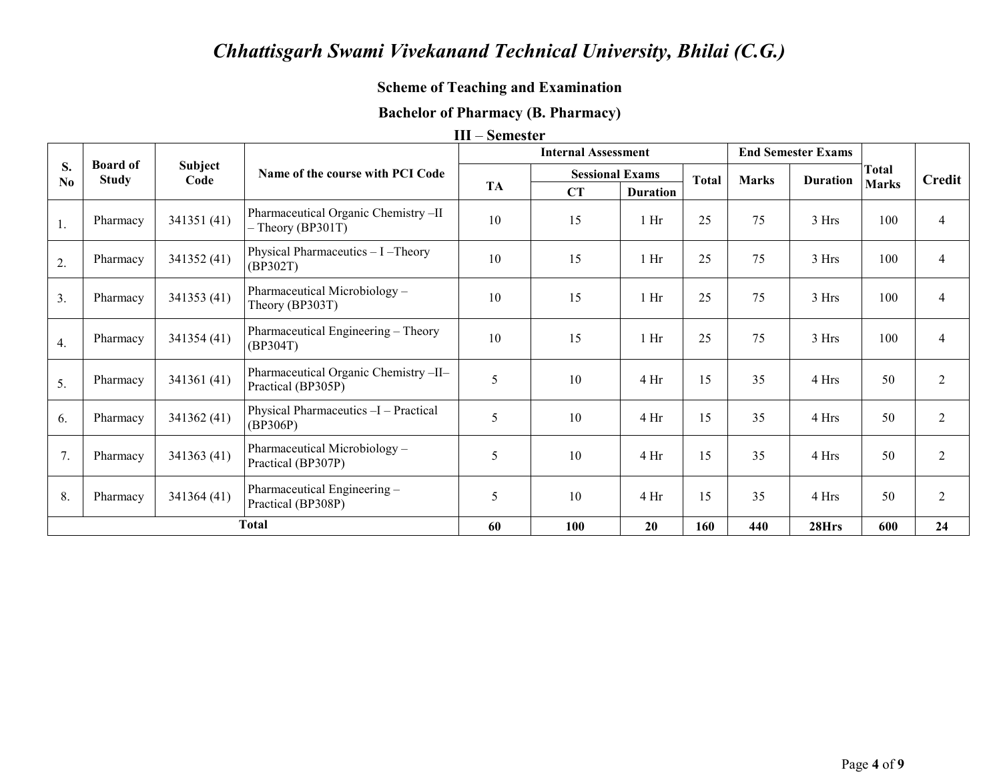# **Scheme of Teaching and Examination**

## **Bachelor of Pharmacy (B. Pharmacy)**

#### **III – Semester**

|                      |                                 |                 |                                                             |           | <b>Internal Assessment</b> |                 |              |              | <b>End Semester Exams</b> |              |                |
|----------------------|---------------------------------|-----------------|-------------------------------------------------------------|-----------|----------------------------|-----------------|--------------|--------------|---------------------------|--------------|----------------|
| S.<br>N <sub>0</sub> | <b>Board of</b><br><b>Study</b> | Subject<br>Code | Name of the course with PCI Code                            |           | <b>Sessional Exams</b>     |                 | <b>Total</b> | <b>Marks</b> | <b>Duration</b>           | <b>Total</b> | Credit         |
|                      |                                 |                 |                                                             | <b>TA</b> | CT                         | <b>Duration</b> |              |              |                           | <b>Marks</b> |                |
| 1.                   | Pharmacy                        | 341351 (41)     | Pharmaceutical Organic Chemistry -II<br>$-$ Theory (BP301T) | 10        | 15                         | 1 <sub>hr</sub> | 25           | 75           | 3 Hrs                     | 100          | $\overline{4}$ |
| 2.                   | Pharmacy                        | 341352 (41)     | Physical Pharmaceutics - I - Theory<br>(BP302T)             | 10        | 15                         | $1$ Hr          | 25           | 75           | 3 Hrs                     | 100          | 4              |
| 3.                   | Pharmacy                        | 341353 (41)     | Pharmaceutical Microbiology -<br>Theory (BP303T)            | 10        | 15                         | 1 <sub>hr</sub> | 25           | 75           | 3 Hrs                     | 100          | $\overline{4}$ |
| 4.                   | Pharmacy                        | 341354 (41)     | Pharmaceutical Engineering - Theory<br>(BP304T)             | 10        | 15                         | $1$ Hr          | 25           | 75           | 3 Hrs                     | 100          | $\overline{4}$ |
| 5.                   | Pharmacy                        | 341361 (41)     | Pharmaceutical Organic Chemistry-II-<br>Practical (BP305P)  | 5         | 10                         | 4 Hr            | 15           | 35           | 4 Hrs                     | 50           | $\overline{2}$ |
| 6.                   | Pharmacy                        | 341362 (41)     | Physical Pharmaceutics -I - Practical<br>(BP306P)           | 5         | 10                         | 4 Hr            | 15           | 35           | 4 Hrs                     | 50           | $\overline{2}$ |
| 7.                   | Pharmacy                        | 341363 (41)     | Pharmaceutical Microbiology –<br>Practical (BP307P)         | 5         | 10                         | 4 Hr            | 15           | 35           | 4 Hrs                     | 50           | $\overline{2}$ |
| 8.                   | Pharmacy                        | 341364 (41)     | Pharmaceutical Engineering -<br>Practical (BP308P)          | 5         | 10                         | 4 Hr            | 15           | 35           | 4 Hrs                     | 50           | $\overline{2}$ |
|                      |                                 |                 | <b>Total</b>                                                | 60        | 100                        | 20              | 160          | 440          | 28Hrs                     | 600          | 24             |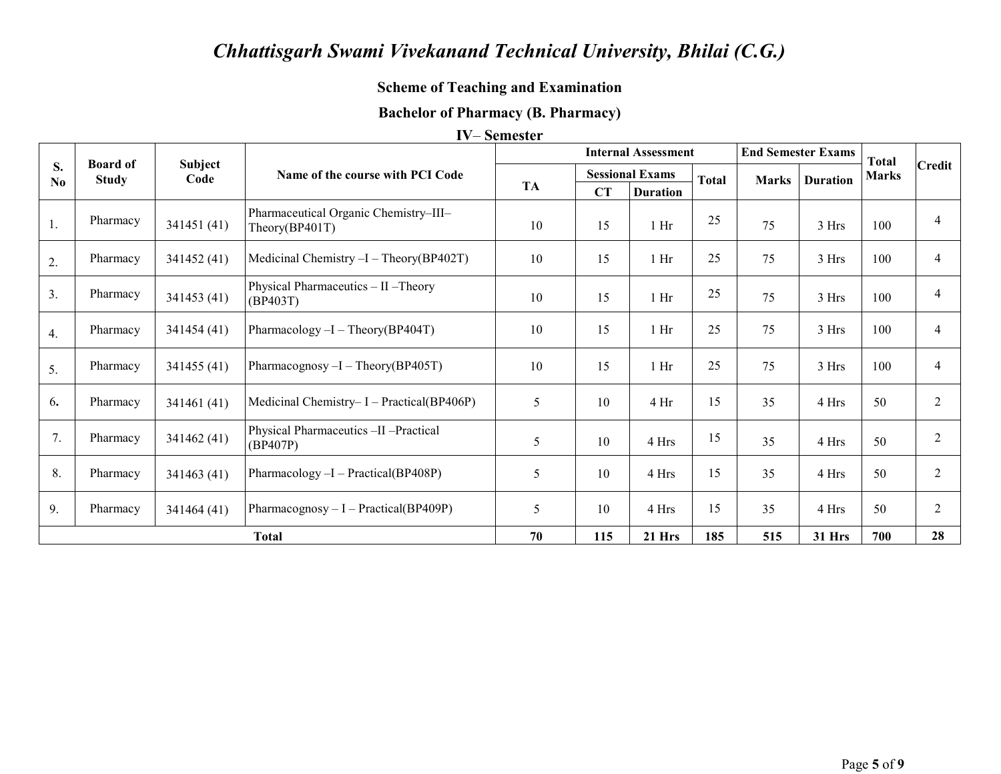## **Scheme of Teaching and Examination**

#### **Bachelor of Pharmacy (B. Pharmacy)**

#### **IV-Semester**

|                      | <b>Board of</b> |                 |                                                         |           | <b>End Semester Exams</b><br><b>Internal Assessment</b> |                        | <b>Total</b> |              |                 |              |               |
|----------------------|-----------------|-----------------|---------------------------------------------------------|-----------|---------------------------------------------------------|------------------------|--------------|--------------|-----------------|--------------|---------------|
| S.<br>N <sub>0</sub> | <b>Study</b>    | Subject<br>Code | Name of the course with PCI Code                        |           |                                                         | <b>Sessional Exams</b> | <b>Total</b> | <b>Marks</b> | <b>Duration</b> | <b>Marks</b> | <b>Credit</b> |
|                      |                 |                 |                                                         | <b>TA</b> | CT                                                      | <b>Duration</b>        |              |              |                 |              |               |
| 1.                   | Pharmacy        | 341451(41)      | Pharmaceutical Organic Chemistry-III-<br>Theory(BP401T) | 10        | 15                                                      | 1 <sub>Hi</sub>        | 25           | 75           | 3 Hrs           | 100          |               |
| 2.                   | Pharmacy        | 341452(41)      | Medicinal Chemistry $-I - Theory(BP402T)$               | 10        | 15                                                      | 1 <sub>hr</sub>        | 25           | 75           | 3 Hrs           | 100          | 4             |
| 3.                   | Pharmacy        | 341453 (41)     | Physical Pharmaceutics - II - Theory<br>(BP403T)        | 10        | 15                                                      | 1 <sub>hr</sub>        | 25           | 75           | 3 Hrs           | 100          | 4             |
| 4.                   | Pharmacy        | 341454 (41)     | Pharmacology $-I - Theory(BP404T)$                      | 10        | 15                                                      | 1 <sub>hr</sub>        | 25           | 75           | 3 Hrs           | 100          | 4             |
| 5.                   | Pharmacy        | 341455 (41)     | Pharmacognosy $-I - Theory(BP405T)$                     | 10        | 15                                                      | 1 <sub>Hi</sub>        | 25           | 75           | 3 Hrs           | 100          | 4             |
| 6.                   | Pharmacy        | 341461 (41)     | Medicinal Chemistry-I - Practical(BP406P)               | 5         | 10                                                      | 4Hr                    | 15           | 35           | 4 Hrs           | 50           | 2             |
| 7.                   | Pharmacy        | 341462 (41)     | Physical Pharmaceutics -II -Practical<br>(BP407P)       | 5         | 10                                                      | 4 Hrs                  | 15           | 35           | 4 Hrs           | 50           | 2             |
| 8.                   | Pharmacy        | 341463 (41)     | Pharmacology -I - Practical(BP408P)                     | 5         | 10                                                      | 4 Hrs                  | 15           | 35           | 4 Hrs           | 50           |               |
| 9.                   | Pharmacy        | 341464 (41)     | Pharmacognosy $-I$ – Practical(BP409P)                  | 5         | 10                                                      | 4 Hrs                  | 15           | 35           | 4 Hrs           | 50           | 2             |
|                      |                 |                 | <b>Total</b>                                            | 70        | 115                                                     | $21$ Hrs               | 185          | 515          | <b>31 Hrs</b>   | 700          | 28            |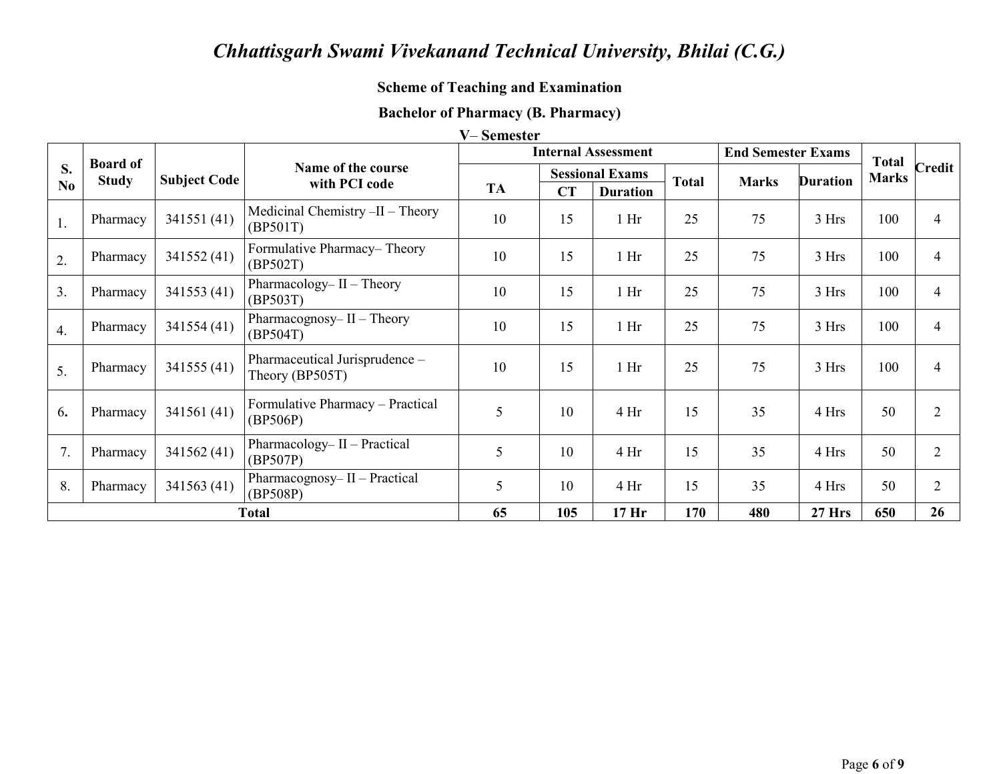## **Scheme of Teaching and Examination**

# **Bachelor of Pharmacy (B. Pharmacy)**

|                  |                                 |                     |                                                   | V-Semester |    |                            |              |                           |                 |              |
|------------------|---------------------------------|---------------------|---------------------------------------------------|------------|----|----------------------------|--------------|---------------------------|-----------------|--------------|
|                  |                                 |                     |                                                   |            |    | <b>Internal Assessment</b> |              | <b>End Semester Exams</b> |                 | <b>Total</b> |
| <b>S.</b>        | <b>Board of</b><br><b>Study</b> | <b>Subject Code</b> | Name of the course                                |            |    | <b>Sessional Exams</b>     | <b>Total</b> | <b>Marks</b>              | <b>Duration</b> | <b>Marks</b> |
| N <sub>0</sub>   |                                 |                     | with PCI code                                     | TA         | CT | <b>Duration</b>            |              |                           |                 |              |
| 1.               | Pharmacy                        | 341551 (41)         | Medicinal Chemistry $-II$ – Theory<br>(BP501T)    | 10         | 15 | 1 <sub>hr</sub>            | 25           | 75                        | 3 Hrs           | 100          |
| $\overline{2}$ . | Pharmacy                        | 341552 (41)         | Formulative Pharmacy–Theory<br>(BP502T)           | 10         | 15 | 1 <sub>Hi</sub>            | 25           | 75                        | 3 Hrs           | 100          |
| 3 <sub>1</sub>   | Pharmacy                        | 341553 (41)         | Pharmacology-II - Theory<br>(BP503T)              | 10         | 15 | 1 <sub>hr</sub>            | 25           | 75                        | 3 Hrs           | 100          |
| $\overline{4}$ . | Pharmacy                        | 341554 (41)         | Pharmacognosy- $II$ – Theory<br>(BP504T)          | 10         | 15 | 1 <sub>hr</sub>            | 25           | 75                        | 3 Hrs           | 100          |
| 5 <sub>1</sub>   | Pharmacy                        | 341555 (41)         | Pharmaceutical Jurisprudence -<br>Theory (BP505T) | 10         | 15 | 1 <sub>hr</sub>            | 25           | 75                        | 3 Hrs           | 100          |
| 6.               | Pharmacy                        | 341561 (41)         | Formulative Pharmacy - Practical<br>(BP506P)      | 5          | 10 | 4 <sub>hr</sub>            | 15           | 35                        | 4 Hrs           | 50           |
| 7.               | Pharmacy                        | 341562 (41)         | Pharmacology– II – Practical<br>(BP507P)          | 5          | 10 | 4 <sub>Hi</sub>            | 15           | 35                        | 4 Hrs           | 50           |
| 8.               | Pharmacy                        | 341563 (41)         | Pharmacognosy- $II$ – Practical<br>(BP508P)       | 5          | 10 | 4 <sub>Hi</sub>            | 15           | 35                        | 4 Hrs           | 50           |

65

**Total** 

105

 $17<sub>Ar</sub>$ 

170

480

**27 Hrs** 

650

Credit

 $\overline{4}$ 

 $\overline{4}$ 

 $\overline{4}$ 

 $\overline{4}$ 

 $\overline{4}$ 

 $\overline{2}$ 

 $\overline{2}$ 

 $\overline{2}$ 

 $\overline{26}$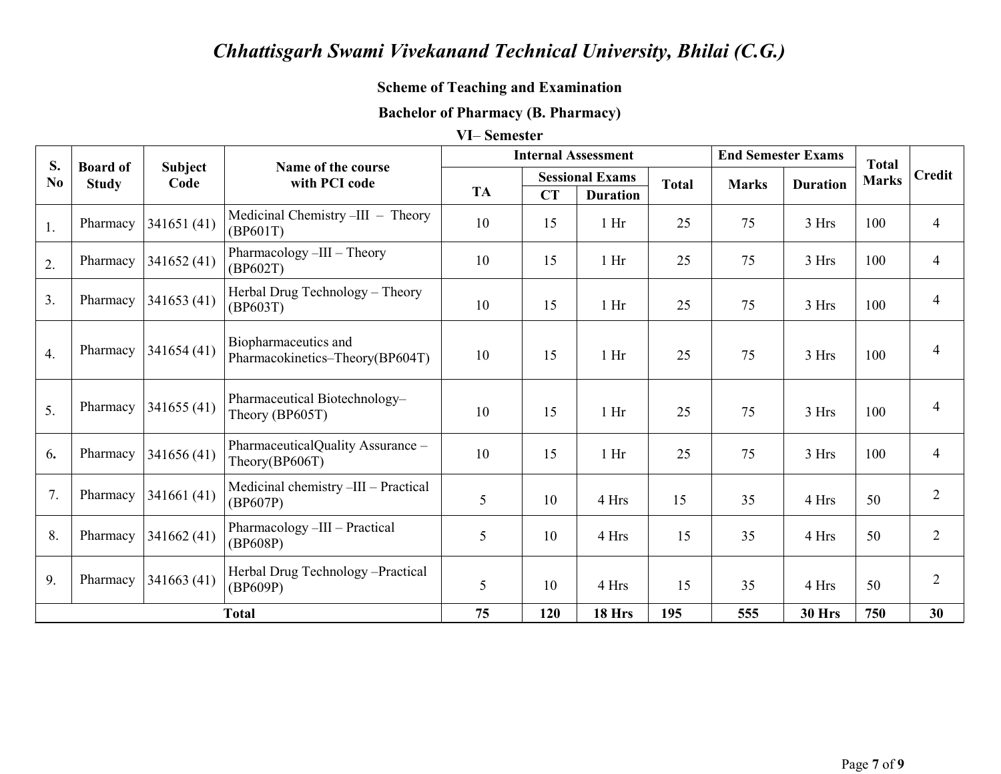# **Scheme of Teaching and Examination**

# **Bachelor of Pharmacy (B. Pharmacy)**

#### VI-Semester

| S.               | <b>Board of</b> |                        | Name of the course                                      |           |           | <b>Internal Assessment</b> |              | <b>End Semester Exams</b> |                 | <b>Total</b> |                |
|------------------|-----------------|------------------------|---------------------------------------------------------|-----------|-----------|----------------------------|--------------|---------------------------|-----------------|--------------|----------------|
| N <sub>0</sub>   | <b>Study</b>    | <b>Subject</b><br>Code | with PCI code                                           |           |           | <b>Sessional Exams</b>     | <b>Total</b> | <b>Marks</b>              | <b>Duration</b> | <b>Marks</b> | <b>Credit</b>  |
|                  |                 |                        |                                                         | <b>TA</b> | <b>CT</b> | <b>Duration</b>            |              |                           |                 |              |                |
| 1.               | Pharmacy        | 341651(41)             | Medicinal Chemistry -III - Theory<br>(BP601T)           | 10        | 15        | $1$ Hr                     | 25           | 75                        | 3 Hrs           | 100          | $\overline{4}$ |
| 2.               | Pharmacy        | 341652 (41)            | Pharmacology -III - Theory<br>(BP602T)                  | 10        | 15        | $1$ Hr                     | 25           | 75                        | 3 Hrs           | 100          | $\overline{4}$ |
| 3.               | Pharmacy        | 341653(41)             | Herbal Drug Technology - Theory<br>(BP603T)             | 10        | 15        | 1 <sub>hr</sub>            | 25           | 75                        | 3 Hrs           | 100          | $\overline{4}$ |
| $\overline{4}$ . | Pharmacy        | 341654(41)             | Biopharmaceutics and<br>Pharmacokinetics-Theory(BP604T) | 10        | 15        | 1 <sub>hr</sub>            | 25           | 75                        | 3 Hrs           | 100          | $\overline{4}$ |
| 5.               | Pharmacy        | 341655(41)             | Pharmaceutical Biotechnology-<br>Theory (BP605T)        | 10        | 15        | 1 <sub>hr</sub>            | 25           | 75                        | 3 Hrs           | 100          | $\overline{4}$ |
| 6.               | Pharmacy        | 341656 (41)            | PharmaceuticalQuality Assurance -<br>Theory(BP606T)     | 10        | 15        | $1$ Hr                     | 25           | 75                        | 3 Hrs           | 100          | $\overline{4}$ |
| 7.               | Pharmacy        | 341661(41)             | Medicinal chemistry -III - Practical<br>(BP607P)        | 5         | 10        | 4 Hrs                      | 15           | 35                        | 4 Hrs           | 50           | $\overline{2}$ |
| 8.               | Pharmacy        | 341662 (41)            | Pharmacology -III - Practical<br>(BP608P)               | 5         | 10        | 4 Hrs                      | 15           | 35                        | 4 Hrs           | 50           | $\overline{2}$ |
| 9.               | Pharmacy        | 341663(41)             | Herbal Drug Technology -Practical<br>(BP609P)           | 5         | 10        | 4 Hrs                      | 15           | 35                        | 4 Hrs           | 50           | $\overline{2}$ |
|                  |                 |                        | <b>Total</b>                                            | 75        | 120       | 18 Hrs                     | 195          | 555                       | 30 Hrs          | 750          | 30             |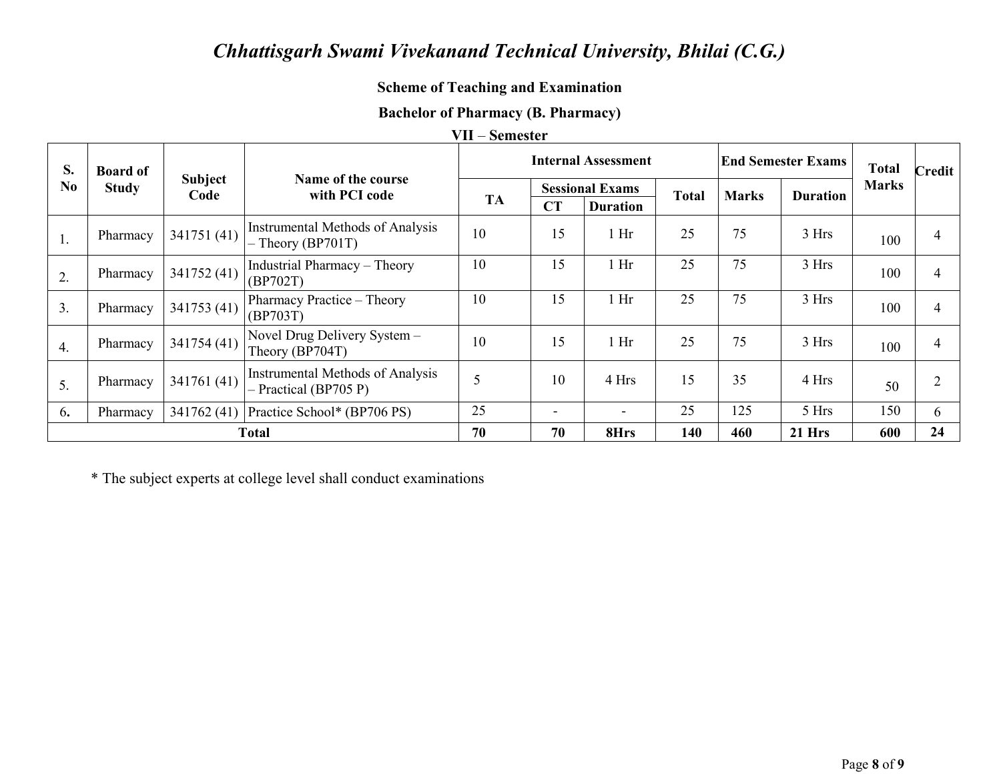## **Scheme of Teaching and Examination**

## **Bachelor of Pharmacy (B. Pharmacy)**

#### VII – Semester

| S.             | <b>Board of</b> |                        |                                                                    |           | <b>Internal Assessment</b> |                        |              |              | <b>End Semester Exams</b> |              | <b>Credit</b>  |
|----------------|-----------------|------------------------|--------------------------------------------------------------------|-----------|----------------------------|------------------------|--------------|--------------|---------------------------|--------------|----------------|
| N <sub>0</sub> | <b>Study</b>    | <b>Subject</b><br>Code | Name of the course<br>with PCI code                                |           |                            | <b>Sessional Exams</b> | <b>Total</b> | <b>Marks</b> | <b>Duration</b>           | <b>Marks</b> |                |
|                |                 |                        |                                                                    | <b>TA</b> | CT                         | <b>Duration</b>        |              |              |                           |              |                |
| 1.             | Pharmacy        | 341751 (41)            | <b>Instrumental Methods of Analysis</b><br>$-$ Theory (BP701T)     | 10        | 15                         | Hr                     | 25           | 75           | 3 Hrs                     | 100          | 4              |
| 2.             | Pharmacy        | 341752 (41)            | <b>Industrial Pharmacy - Theory</b><br>(BP702T)                    | 10        | 15                         | $1$ Hr                 | 25           | 75           | 3 Hrs                     | 100          | $\overline{4}$ |
| 3 <sub>1</sub> | Pharmacy        | 341753 (41)            | Pharmacy Practice – Theory<br>(BP703T)                             | 10        | 15                         | 1 <sub>hr</sub>        | 25           | 75           | 3 Hrs                     | 100          | 4              |
| 4.             | Pharmacy        | 341754 (41)            | Novel Drug Delivery System -<br>Theory (BP704T)                    | 10        | 15                         | 1 <sub>hr</sub>        | 25           | 75           | 3 Hrs                     | 100          | 4              |
| 5.             | Pharmacy        | 341761 (41)            | <b>Instrumental Methods of Analysis</b><br>$-$ Practical (BP705 P) | 5         | 10                         | 4 Hrs                  | 15           | 35           | 4 Hrs                     | 50           | $\overline{2}$ |
| 6.             | Pharmacy        | 341762 (41)            | Practice School* (BP706 PS)                                        | 25        | $\overline{\phantom{0}}$   |                        | 25           | 125          | 5 Hrs                     | 150          | 6              |
|                | Total           |                        |                                                                    | 70        | 70                         | 8Hrs                   | 140          | 460          | $21$ Hrs                  | 600          | 24             |

\* The subject experts at college level shall conduct examinations